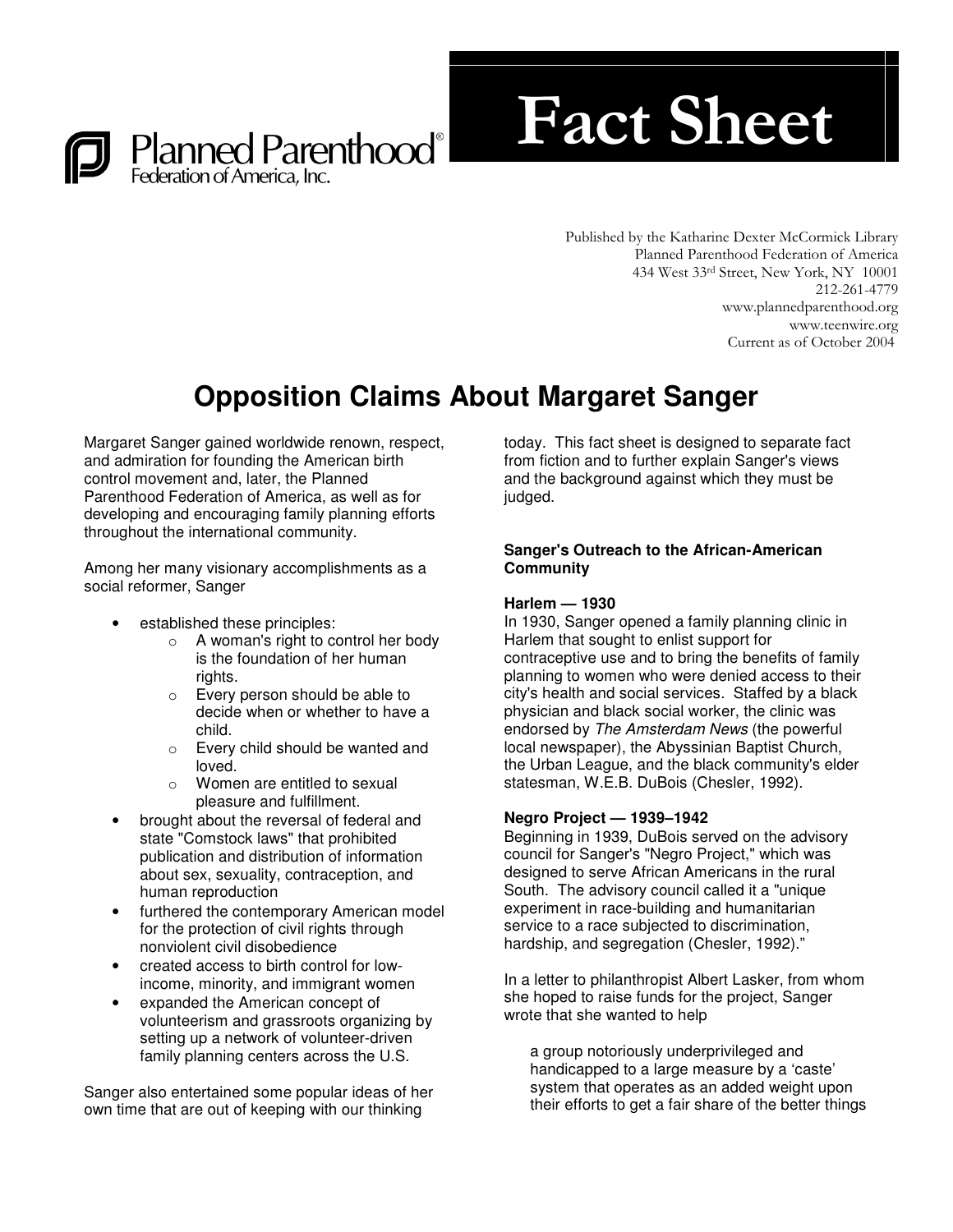

# **Fact Sheet**

Published by the Katharine Dexter McCormick Library Planned Parenthood Federation of America 434 West 33rd Street, New York, NY 10001 212-261-4779 www.plannedparenthood.org www.teenwire.org Current as of October 2004

# **Opposition Claims About Margaret Sanger**

Margaret Sanger gained worldwide renown, respect, and admiration for founding the American birth control movement and, later, the Planned Parenthood Federation of America, as well as for developing and encouraging family planning efforts throughout the international community.

Among her many visionary accomplishments as a social reformer, Sanger

- established these principles:
	- o A woman's right to control her body is the foundation of her human rights.
	- o Every person should be able to decide when or whether to have a child.
	- o Every child should be wanted and loved.
	- o Women are entitled to sexual pleasure and fulfillment.
- brought about the reversal of federal and state "Comstock laws" that prohibited publication and distribution of information about sex, sexuality, contraception, and human reproduction
- furthered the contemporary American model for the protection of civil rights through nonviolent civil disobedience
- created access to birth control for lowincome, minority, and immigrant women
- expanded the American concept of volunteerism and grassroots organizing by setting up a network of volunteer-driven family planning centers across the U.S.

Sanger also entertained some popular ideas of her own time that are out of keeping with our thinking

today. This fact sheet is designed to separate fact from fiction and to further explain Sanger's views and the background against which they must be judged.

# **Sanger's Outreach to the African-American Community**

# **Harlem — 1930**

In 1930, Sanger opened a family planning clinic in Harlem that sought to enlist support for contraceptive use and to bring the benefits of family planning to women who were denied access to their city's health and social services. Staffed by a black physician and black social worker, the clinic was endorsed by *The Amsterdam News* (the powerful local newspaper), the Abyssinian Baptist Church, the Urban League, and the black community's elder statesman, W.E.B. DuBois (Chesler, 1992).

# **Negro Project — 1939–1942**

Beginning in 1939, DuBois served on the advisory council for Sanger's "Negro Project," which was designed to serve African Americans in the rural South. The advisory council called it a "unique experiment in race-building and humanitarian service to a race subjected to discrimination, hardship, and segregation (Chesler, 1992)."

In a letter to philanthropist Albert Lasker, from whom she hoped to raise funds for the project, Sanger wrote that she wanted to help

a group notoriously underprivileged and handicapped to a large measure by a 'caste' system that operates as an added weight upon their efforts to get a fair share of the better things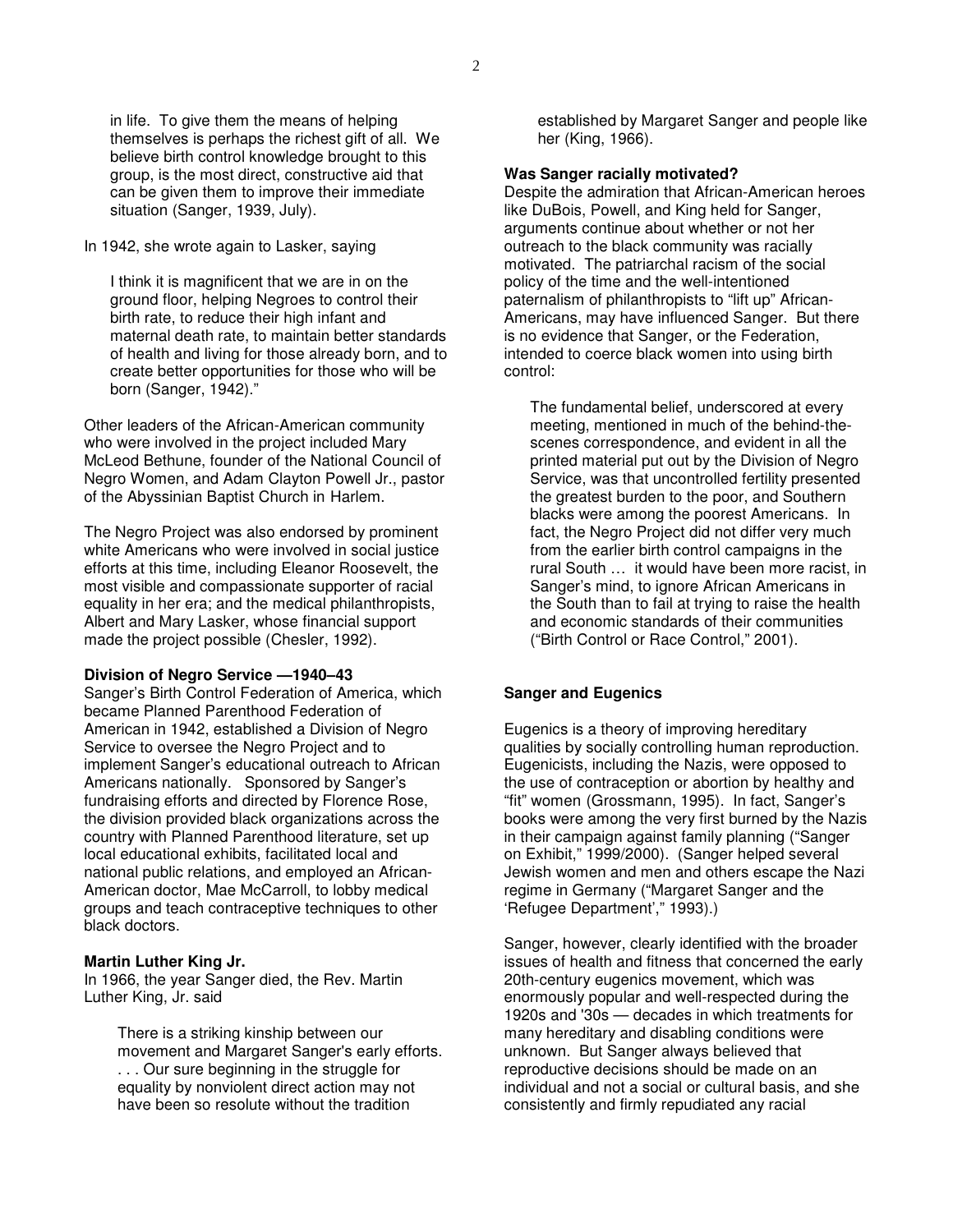in life. To give them the means of helping themselves is perhaps the richest gift of all. We believe birth control knowledge brought to this group, is the most direct, constructive aid that can be given them to improve their immediate situation (Sanger, 1939, July).

In 1942, she wrote again to Lasker, saying

I think it is magnificent that we are in on the ground floor, helping Negroes to control their birth rate, to reduce their high infant and maternal death rate, to maintain better standards of health and living for those already born, and to create better opportunities for those who will be born (Sanger, 1942)."

Other leaders of the African-American community who were involved in the project included Mary McLeod Bethune, founder of the National Council of Negro Women, and Adam Clayton Powell Jr., pastor of the Abyssinian Baptist Church in Harlem.

The Negro Project was also endorsed by prominent white Americans who were involved in social justice efforts at this time, including Eleanor Roosevelt, the most visible and compassionate supporter of racial equality in her era; and the medical philanthropists, Albert and Mary Lasker, whose financial support made the project possible (Chesler, 1992).

# **Division of Negro Service —1940–43**

Sanger's Birth Control Federation of America, which became Planned Parenthood Federation of American in 1942, established a Division of Negro Service to oversee the Negro Project and to implement Sanger's educational outreach to African Americans nationally. Sponsored by Sanger's fundraising efforts and directed by Florence Rose, the division provided black organizations across the country with Planned Parenthood literature, set up local educational exhibits, facilitated local and national public relations, and employed an African-American doctor, Mae McCarroll, to lobby medical groups and teach contraceptive techniques to other black doctors.

# **Martin Luther King Jr.**

In 1966, the year Sanger died, the Rev. Martin Luther King, Jr. said

> There is a striking kinship between our movement and Margaret Sanger's early efforts. . . . Our sure beginning in the struggle for equality by nonviolent direct action may not have been so resolute without the tradition

established by Margaret Sanger and people like her (King, 1966).

#### **Was Sanger racially motivated?**

Despite the admiration that African-American heroes like DuBois, Powell, and King held for Sanger, arguments continue about whether or not her outreach to the black community was racially motivated. The patriarchal racism of the social policy of the time and the well-intentioned paternalism of philanthropists to "lift up" African-Americans, may have influenced Sanger. But there is no evidence that Sanger, or the Federation, intended to coerce black women into using birth control:

The fundamental belief, underscored at every meeting, mentioned in much of the behind-thescenes correspondence, and evident in all the printed material put out by the Division of Negro Service, was that uncontrolled fertility presented the greatest burden to the poor, and Southern blacks were among the poorest Americans. In fact, the Negro Project did not differ very much from the earlier birth control campaigns in the rural South … it would have been more racist, in Sanger's mind, to ignore African Americans in the South than to fail at trying to raise the health and economic standards of their communities ("Birth Control or Race Control," 2001).

### **Sanger and Eugenics**

Eugenics is a theory of improving hereditary qualities by socially controlling human reproduction. Eugenicists, including the Nazis, were opposed to the use of contraception or abortion by healthy and "fit" women (Grossmann, 1995). In fact, Sanger's books were among the very first burned by the Nazis in their campaign against family planning ("Sanger on Exhibit," 1999/2000). (Sanger helped several Jewish women and men and others escape the Nazi regime in Germany ("Margaret Sanger and the 'Refugee Department'," 1993).)

Sanger, however, clearly identified with the broader issues of health and fitness that concerned the early 20th-century eugenics movement, which was enormously popular and well-respected during the 1920s and '30s — decades in which treatments for many hereditary and disabling conditions were unknown. But Sanger always believed that reproductive decisions should be made on an individual and not a social or cultural basis, and she consistently and firmly repudiated any racial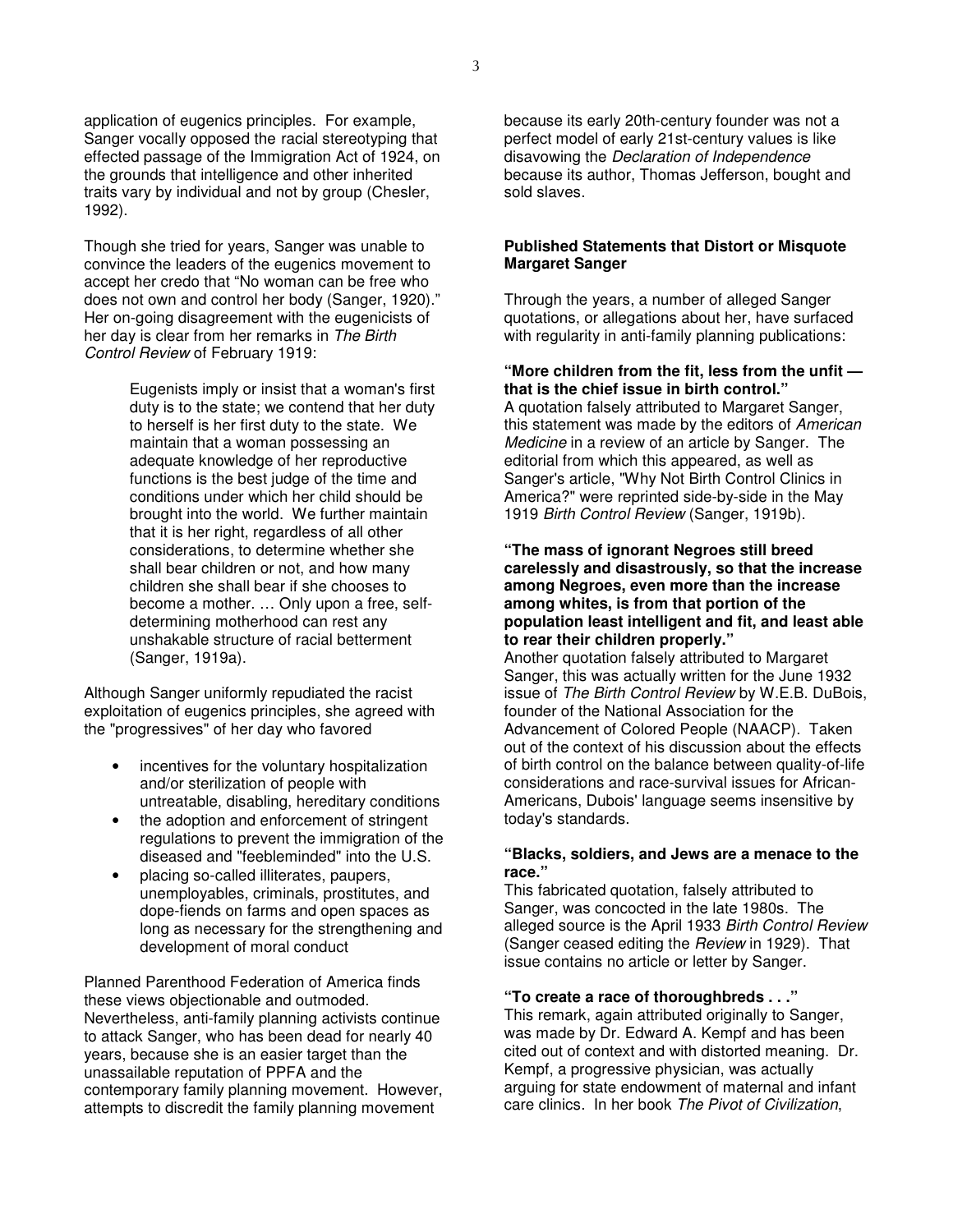application of eugenics principles. For example, Sanger vocally opposed the racial stereotyping that effected passage of the Immigration Act of 1924, on the grounds that intelligence and other inherited traits vary by individual and not by group (Chesler, 1992).

Though she tried for years, Sanger was unable to convince the leaders of the eugenics movement to accept her credo that "No woman can be free who does not own and control her body (Sanger, 1920)." Her on-going disagreement with the eugenicists of her day is clear from her remarks in *The Birth Control Review* of February 1919:

> Eugenists imply or insist that a woman's first duty is to the state; we contend that her duty to herself is her first duty to the state. We maintain that a woman possessing an adequate knowledge of her reproductive functions is the best judge of the time and conditions under which her child should be brought into the world. We further maintain that it is her right, regardless of all other considerations, to determine whether she shall bear children or not, and how many children she shall bear if she chooses to become a mother. … Only upon a free, selfdetermining motherhood can rest any unshakable structure of racial betterment (Sanger, 1919a).

Although Sanger uniformly repudiated the racist exploitation of eugenics principles, she agreed with the "progressives" of her day who favored

- incentives for the voluntary hospitalization and/or sterilization of people with untreatable, disabling, hereditary conditions
- the adoption and enforcement of stringent regulations to prevent the immigration of the diseased and "feebleminded" into the U.S.
- placing so-called illiterates, paupers, unemployables, criminals, prostitutes, and dope-fiends on farms and open spaces as long as necessary for the strengthening and development of moral conduct

Planned Parenthood Federation of America finds these views objectionable and outmoded. Nevertheless, anti-family planning activists continue to attack Sanger, who has been dead for nearly 40 years, because she is an easier target than the unassailable reputation of PPFA and the contemporary family planning movement. However, attempts to discredit the family planning movement

because its early 20th-century founder was not a perfect model of early 21st-century values is like disavowing the *Declaration of Independence* because its author, Thomas Jefferson, bought and sold slaves.

### **Published Statements that Distort or Misquote Margaret Sanger**

Through the years, a number of alleged Sanger quotations, or allegations about her, have surfaced with regularity in anti-family planning publications:

### **"More children from the fit, less from the unfit that is the chief issue in birth control."**

A quotation falsely attributed to Margaret Sanger, this statement was made by the editors of *American Medicine* in a review of an article by Sanger. The editorial from which this appeared, as well as Sanger's article, "Why Not Birth Control Clinics in America?" were reprinted side-by-side in the May 1919 *Birth Control Review* (Sanger, 1919b).

#### **"The mass of ignorant Negroes still breed carelessly and disastrously, so that the increase among Negroes, even more than the increase among whites, is from that portion of the population least intelligent and fit, and least able to rear their children properly."**

Another quotation falsely attributed to Margaret Sanger, this was actually written for the June 1932 issue of *The Birth Control Review* by W.E.B. DuBois, founder of the National Association for the Advancement of Colored People (NAACP). Taken out of the context of his discussion about the effects of birth control on the balance between quality-of-life considerations and race-survival issues for African-Americans, Dubois' language seems insensitive by today's standards.

# **"Blacks, soldiers, and Jews are a menace to the race."**

This fabricated quotation, falsely attributed to Sanger, was concocted in the late 1980s. The alleged source is the April 1933 *Birth Control Review* (Sanger ceased editing the *Review* in 1929). That issue contains no article or letter by Sanger.

### **"To create a race of thoroughbreds . . ."**

This remark, again attributed originally to Sanger, was made by Dr. Edward A. Kempf and has been cited out of context and with distorted meaning. Dr. Kempf, a progressive physician, was actually arguing for state endowment of maternal and infant care clinics. In her book *The Pivot of Civilization*,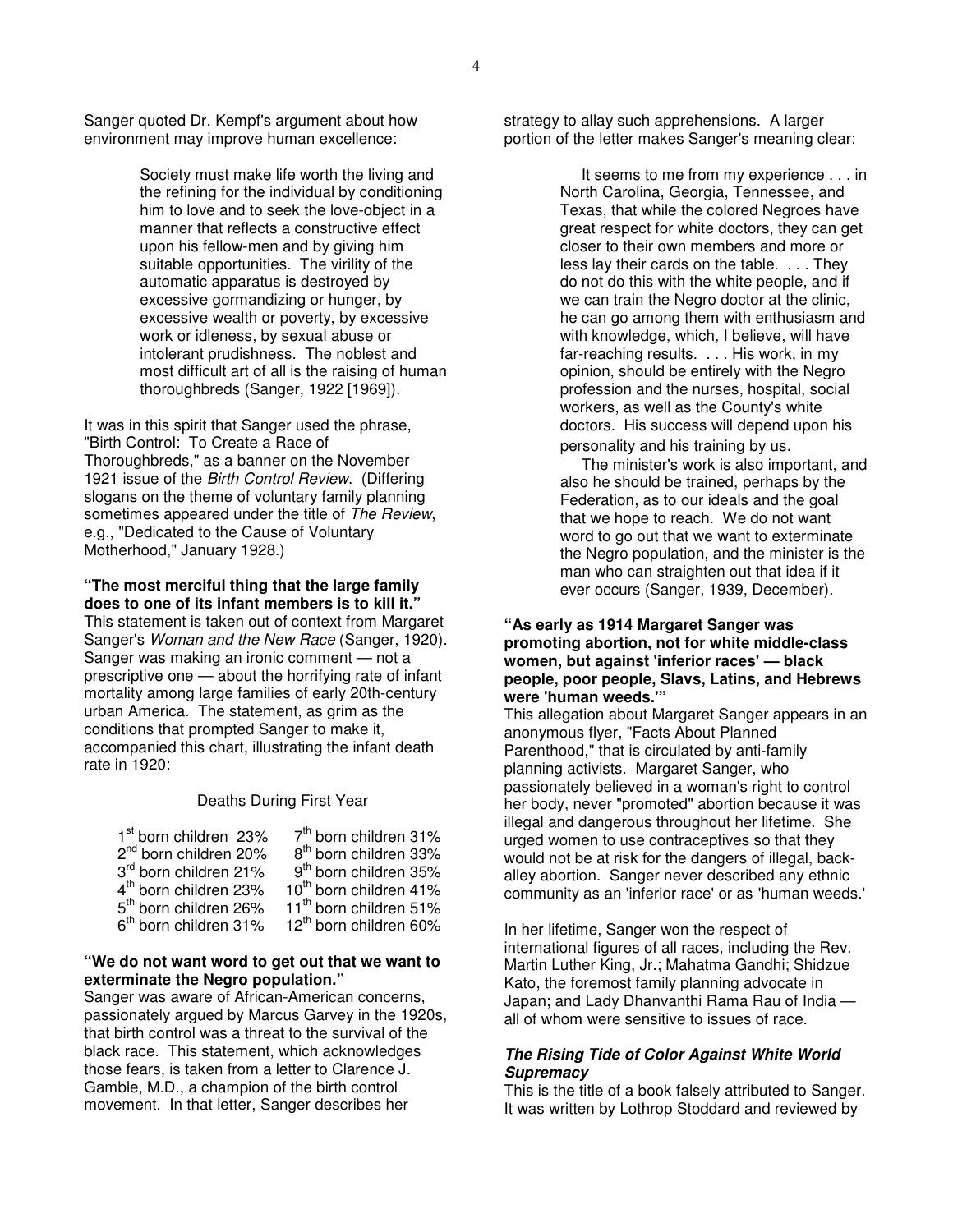Sanger quoted Dr. Kempf's argument about how environment may improve human excellence:

> Society must make life worth the living and the refining for the individual by conditioning him to love and to seek the love-object in a manner that reflects a constructive effect upon his fellow-men and by giving him suitable opportunities. The virility of the automatic apparatus is destroyed by excessive gormandizing or hunger, by excessive wealth or poverty, by excessive work or idleness, by sexual abuse or intolerant prudishness. The noblest and most difficult art of all is the raising of human thoroughbreds (Sanger, 1922 [1969]).

It was in this spirit that Sanger used the phrase, "Birth Control: To Create a Race of Thoroughbreds," as a banner on the November 1921 issue of the *Birth Control Review*. (Differing slogans on the theme of voluntary family planning sometimes appeared under the title of *The Review*, e.g., "Dedicated to the Cause of Voluntary Motherhood," January 1928.)

#### **"The most merciful thing that the large family does to one of its infant members is to kill it."**

This statement is taken out of context from Margaret Sanger's *Woman and the New Race* (Sanger, 1920). Sanger was making an ironic comment — not a prescriptive one — about the horrifying rate of infant mortality among large families of early 20th-century urban America. The statement, as grim as the conditions that prompted Sanger to make it, accompanied this chart, illustrating the infant death rate in 1920:

#### Deaths During First Year

| 1 <sup>st</sup> born children 23% | 7 <sup>th</sup> born children 31%  |
|-----------------------------------|------------------------------------|
| 2 <sup>nd</sup> born children 20% | 8 <sup>th</sup> born children 33%  |
| 3 <sup>rd</sup> born children 21% | 9 <sup>th</sup> born children 35%  |
| 4 <sup>th</sup> born children 23% | 10 <sup>th</sup> born children 41% |
| 5 <sup>th</sup> born children 26% | 11 <sup>th</sup> born children 51% |
| 6 <sup>th</sup> born children 31% | 12 <sup>th</sup> born children 60% |

#### **"We do not want word to get out that we want to exterminate the Negro population."**

Sanger was aware of African-American concerns, passionately argued by Marcus Garvey in the 1920s, that birth control was a threat to the survival of the black race. This statement, which acknowledges those fears, is taken from a letter to Clarence J. Gamble, M.D., a champion of the birth control movement. In that letter, Sanger describes her

strategy to allay such apprehensions. A larger portion of the letter makes Sanger's meaning clear:

> It seems to me from my experience . . . in North Carolina, Georgia, Tennessee, and Texas, that while the colored Negroes have great respect for white doctors, they can get closer to their own members and more or less lay their cards on the table. . . . They do not do this with the white people, and if we can train the Negro doctor at the clinic, he can go among them with enthusiasm and with knowledge, which, I believe, will have far-reaching results. . . . His work, in my opinion, should be entirely with the Negro profession and the nurses, hospital, social workers, as well as the County's white doctors. His success will depend upon his personality and his training by us.

> The minister's work is also important, and also he should be trained, perhaps by the Federation, as to our ideals and the goal that we hope to reach. We do not want word to go out that we want to exterminate the Negro population, and the minister is the man who can straighten out that idea if it ever occurs (Sanger, 1939, December).

### **"As early as 1914 Margaret Sanger was promoting abortion, not for white middle-class women, but against 'inferior races' — black people, poor people, Slavs, Latins, and Hebrews were 'human weeds.'"**

This allegation about Margaret Sanger appears in an anonymous flyer, "Facts About Planned Parenthood," that is circulated by anti-family planning activists. Margaret Sanger, who passionately believed in a woman's right to control her body, never "promoted" abortion because it was illegal and dangerous throughout her lifetime. She urged women to use contraceptives so that they would not be at risk for the dangers of illegal, backalley abortion. Sanger never described any ethnic community as an 'inferior race' or as 'human weeds.'

In her lifetime, Sanger won the respect of international figures of all races, including the Rev. Martin Luther King, Jr.; Mahatma Gandhi; Shidzue Kato, the foremost family planning advocate in Japan; and Lady Dhanvanthi Rama Rau of India all of whom were sensitive to issues of race.

# *The Rising Tide of Color Against White World Supremacy*

This is the title of a book falsely attributed to Sanger. It was written by Lothrop Stoddard and reviewed by